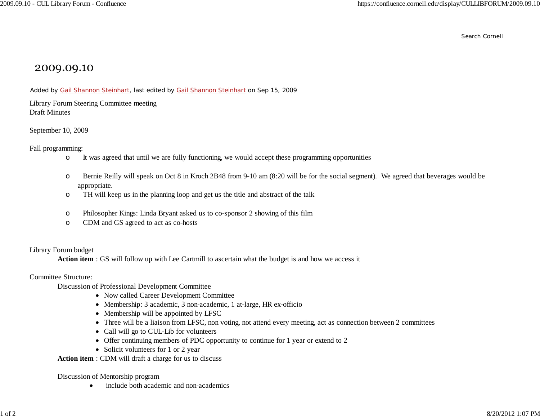Search Cornell

## 2009.09.10

Added by Gail Shannon Steinhart, last edited by Gail Shannon Steinhart on Sep 15, 2009

Library Forum Steering Committee meeting Draft Minutes

September 10, 2009

Fall programming:

- oIt was agreed that until we are fully functioning, we would accept these programming opportunities
- o Bernie Reilly will speak on Oct 8 in Kroch 2B48 from 9-10 am (8:20 will be for the social segment). We agreed that beverages would be appropriate.
- oTH will keep us in the planning loop and get us the title and abstract of the talk
- oPhilosopher Kings: Linda Bryant asked us to co-sponsor 2 showing of this film
- oCDM and GS agreed to act as co-hosts

Library Forum budget

**Action item** : GS will follow up with Lee Cartmill to ascertain what the budget is and how we access it

Committee Structure:

Discussion of Professional Development Committee

- Now called Career Development Committee
- Membership: 3 academic, 3 non-academic, 1 at-large, HR ex-officio
- Membership will be appointed by LFSC
- Three will be a liaison from LFSC, non voting, not attend every meeting, act as connection between 2 committees
- Call will go to CUL-Lib for volunteers
- Offer continuing members of PDC opportunity to continue for 1 year or extend to 2
- Solicit volunteers for 1 or 2 year

**Action item** : CDM will draft a charge for us to discuss

Discussion of Mentorship program

 $\bullet$ include both academic and non-academics